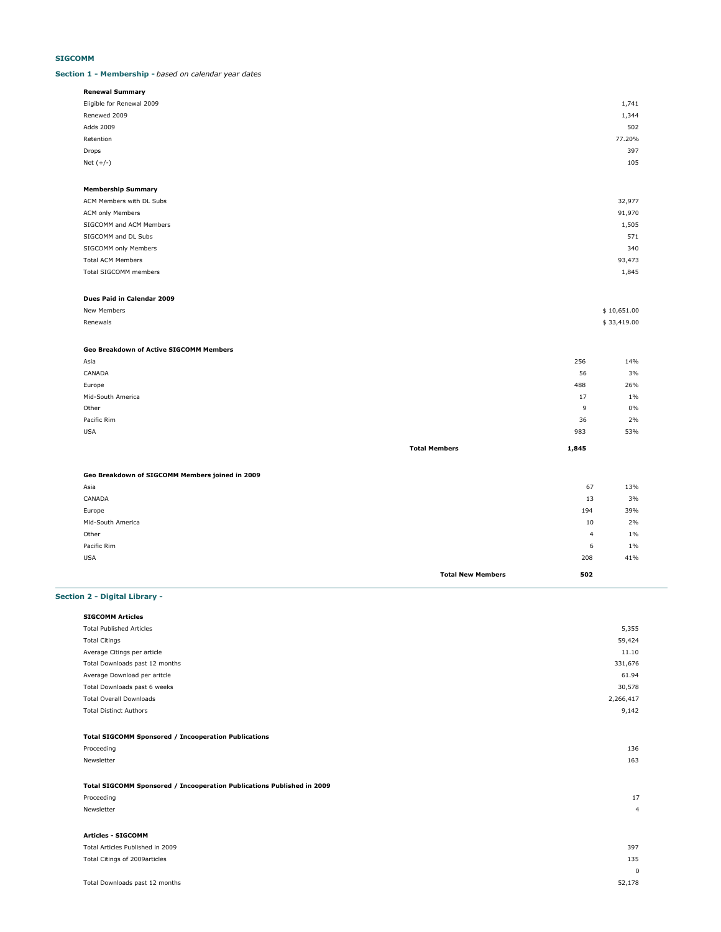# **SIGCOMM**

#### **Section 1 - Membership -** *based on calendar year dates*

| Renewal Summary           |        |
|---------------------------|--------|
| Eligible for Renewal 2009 | 1,741  |
| Renewed 2009              | 1,344  |
| Adds 2009                 | 502    |
| Retention                 | 77.20% |
| Drops                     | 397    |
| Net $(+/-)$               | 105    |
|                           |        |

#### **Membership Summary**

| ACM Members with DL Subs | 32,977 |
|--------------------------|--------|
| ACM only Members         | 91,970 |
| SIGCOMM and ACM Members  | 1,505  |
| SIGCOMM and DL Subs      | 571    |
| SIGCOMM only Members     | 340    |
| <b>Total ACM Members</b> | 93,473 |
| Total SIGCOMM members    | 1,845  |
|                          |        |

#### **Dues Paid in Calendar 2009**

| New Members   | \$10,651.00 |
|---------------|-------------|
| Renewals<br>. | \$33,419.00 |

# **Geo Breakdown of Active SIGCOMM Members**

|                   | <b>Total Members</b> | 1,845 |       |
|-------------------|----------------------|-------|-------|
| <b>USA</b>        |                      | 983   | 53%   |
| Pacific Rim       |                      | 36    | 2%    |
| Other             |                      | 9     | 0%    |
| Mid-South America |                      | 17    | $1\%$ |
| Europe            |                      | 488   | 26%   |
| CANADA            |                      | 56    | 3%    |
| Asia              |                      | 256   | 14%   |

#### **Geo Breakdown of SIGCOMM Members joined in 2009**

| Asia              |                          | 67  | 13%   |
|-------------------|--------------------------|-----|-------|
| CANADA            |                          | 13  | 3%    |
| Europe            |                          | 194 | 39%   |
| Mid-South America |                          | 10  | 2%    |
| Other             |                          | 4   | $1\%$ |
| Pacific Rim       |                          | 6   | $1\%$ |
| <b>USA</b>        |                          | 208 | 41%   |
|                   | <b>Total New Members</b> | 502 |       |

# **Section 2 - Digital Library -**

| <b>SIGCOMM Articles</b>         |        |
|---------------------------------|--------|
| <b>Total Published Articles</b> | 5,355  |
| <b>Total Citings</b>            | 59,424 |
| Average Citings per article     | 11.10  |
|                                 |        |

| Total Citings                                                          | 59,424         |
|------------------------------------------------------------------------|----------------|
| Average Citings per article                                            | 11.10          |
| Total Downloads past 12 months                                         | 331,676        |
| Average Download per aritcle                                           | 61.94          |
| Total Downloads past 6 weeks                                           | 30,578         |
| <b>Total Overall Downloads</b>                                         | 2,266,417      |
| <b>Total Distinct Authors</b>                                          | 9,142          |
| <b>Total SIGCOMM Sponsored / Incooperation Publications</b>            |                |
| Proceeding                                                             | 136            |
| Newsletter                                                             | 163            |
| Total SIGCOMM Sponsored / Incooperation Publications Published in 2009 |                |
| Proceeding                                                             | 17             |
| Newsletter                                                             | $\overline{4}$ |
| <b>Articles - SIGCOMM</b>                                              |                |
| Total Articles Published in 2009                                       | 397            |
| Total Citings of 2009articles                                          | 135            |
|                                                                        | $\mathbf 0$    |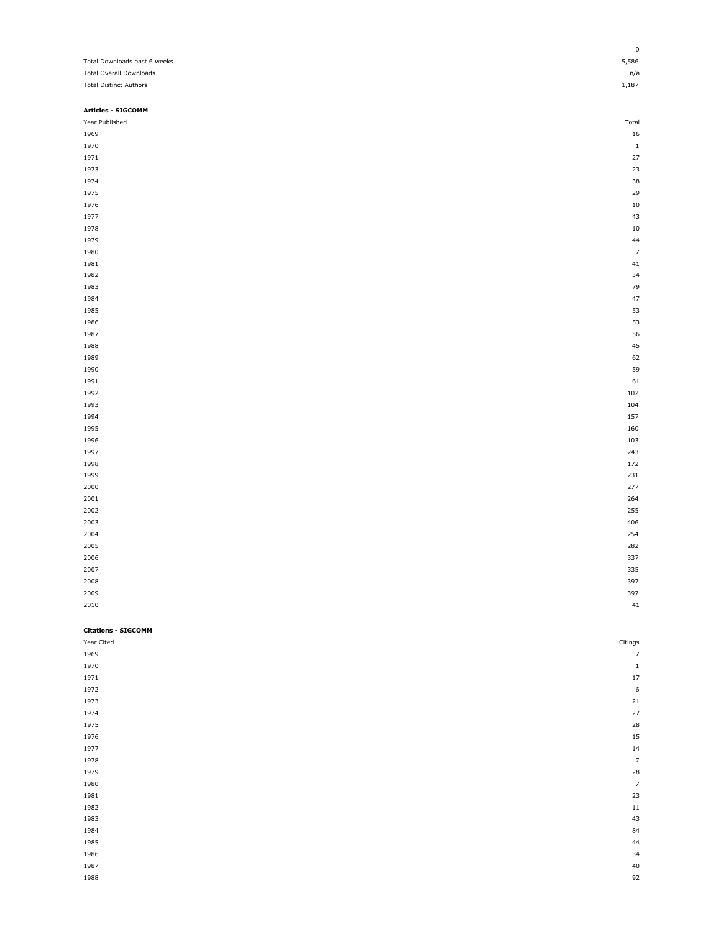|                                | 0              |
|--------------------------------|----------------|
| Total Downloads past 6 weeks   | 5,586          |
| <b>Total Overall Downloads</b> | n/a            |
| <b>Total Distinct Authors</b>  | 1,187          |
|                                |                |
| <b>Articles - SIGCOMM</b>      |                |
| Year Published                 | Total          |
| 1969                           | 16             |
| 1970                           | $1\,$          |
| 1971                           | 27             |
| 1973                           | 23             |
| 1974                           | 38             |
| 1975                           | 29             |
| 1976                           | 10             |
| 1977                           | 43             |
| 1978                           | $10\,$         |
| 1979                           | 44             |
| 1980                           | $\overline{7}$ |
| 1981                           | 41             |
| 1982                           | 34             |
| 1983                           | 79             |
| 1984                           | 47             |
| 1985                           | 53             |
| 1986                           | 53             |
| 1987                           | 56             |
| 1988                           | 45             |
| 1989                           | 62             |
| 1990                           | 59             |
| 1991                           | 61             |
| 1992                           | 102            |
| 1993                           | 104            |
| 1994                           | 157            |
| 1995                           | 160            |
| 1996                           | 103            |
| 1997                           | 243            |
| 1998                           | 172            |
| 1999                           | 231            |
| 2000                           | 277            |
| 2001                           | 264            |
| 2002                           | 255            |
| 2003                           | 406            |
| 2004                           | 254            |
| 2005                           | 282            |
| 2006                           | 337            |
| 2007                           | 335            |
| 2008                           | 397            |
| 2009                           | 397            |
| 2010                           | 41             |
|                                |                |
| <b>Citations - SIGCOMM</b>     |                |
| Year Cited                     | Citings        |
| 1969                           | $\overline{7}$ |
| 1970                           | $\mathbf 1$    |
| 1971                           | 17             |
| 1972                           | 6              |

| 1973 | 21                       |
|------|--------------------------|
| 1974 | 27                       |
| 1975 | $\overline{28}$          |
| 1976 | $\frac{15}{14}$          |
| 1977 |                          |
| 1978 | $\overline{\phantom{a}}$ |
| 1979 | 28                       |
| 1980 | $\overline{z}$           |
| 1981 | 23                       |
| 1982 | $\frac{11}{43}$          |
| 1983 |                          |
| 1984 | 84<br>44                 |
| 1985 |                          |
| 1986 | 34                       |
| 1987 | $^{40}$                  |
| 1988 | 92                       |
|      |                          |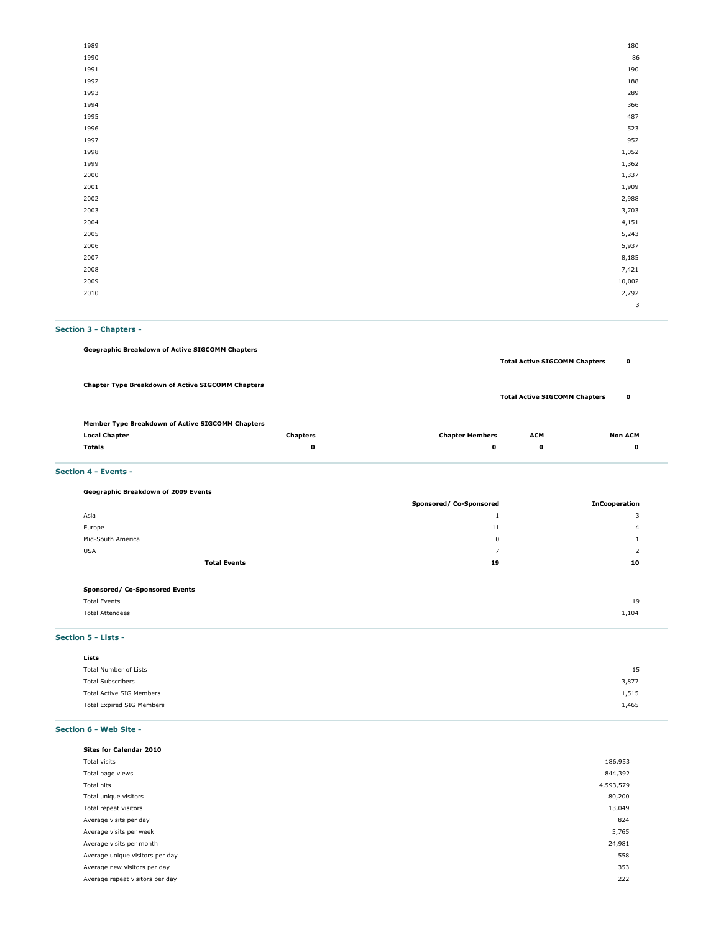| 1989 | 180    |
|------|--------|
| 1990 | 86     |
| 1991 | 190    |
| 1992 | 188    |
| 1993 | 289    |
| 1994 | 366    |
| 1995 | 487    |
| 1996 | 523    |
| 1997 | 952    |
| 1998 | 1,052  |
| 1999 | 1,362  |
| 2000 | 1,337  |
| 2001 | 1,909  |
| 2002 | 2,988  |
| 2003 | 3,703  |
| 2004 | 4,151  |
| 2005 | 5,243  |
| 2006 | 5,937  |
| 2007 | 8,185  |
| 2008 | 7,421  |
| 2009 | 10,002 |
| 2010 | 2,792  |
|      | 3      |

# **Section 3 - Chapters -**

| <b>Geographic Breakdown of Active SIGCOMM Chapters</b>   |                 |                        |                                      |                |
|----------------------------------------------------------|-----------------|------------------------|--------------------------------------|----------------|
|                                                          |                 |                        | <b>Total Active SIGCOMM Chapters</b> | 0              |
|                                                          |                 |                        |                                      |                |
| <b>Chapter Type Breakdown of Active SIGCOMM Chapters</b> |                 |                        | <b>Total Active SIGCOMM Chapters</b> | 0              |
|                                                          |                 |                        |                                      |                |
| Member Type Breakdown of Active SIGCOMM Chapters         |                 |                        |                                      |                |
| <b>Local Chapter</b>                                     | <b>Chapters</b> | <b>Chapter Members</b> | <b>ACM</b>                           | <b>Non ACM</b> |

| Local Chapter | Grapters<br>. | Gildulei Meilipeis | <b>мет</b> | NUILAUM.<br> |
|---------------|---------------|--------------------|------------|--------------|
| Totals        |               |                    |            |              |
|               |               |                    |            |              |

**Section 4 - Events -** 

**Geographic Breakdown of 2009 Events**

|                                | Sponsored/ Co-Sponsored | <b>InCooperation</b> |
|--------------------------------|-------------------------|----------------------|
| Asia                           | <b>.</b>                | 3                    |
| Europe                         | 11                      | 4                    |
| Mid-South America              | 0                       |                      |
| <b>USA</b>                     | -                       | 2                    |
| <b>Total Events</b>            | 19                      | 10                   |
|                                |                         |                      |
| Sponsored/ Co-Sponsored Events |                         |                      |

| <b>Total Events</b>    | 19    |
|------------------------|-------|
| <b>Total Attendees</b> | 1,104 |
|                        |       |

#### **Section 5 - Lists -**

# **Section 6 - Web Site -**

| <b>Sites for Calendar 2010</b>  |           |
|---------------------------------|-----------|
| Total visits                    | 186,953   |
| Total page views                | 844,392   |
| Total hits                      | 4,593,579 |
| Total unique visitors           | 80,200    |
| Total repeat visitors           | 13,049    |
| Average visits per day          | 824       |
| Average visits per week         | 5,765     |
| Average visits per month        | 24,981    |
| Average unique visitors per day | 558       |
| Average new visitors per day    | 353       |
| Average repeat visitors per day | 222       |